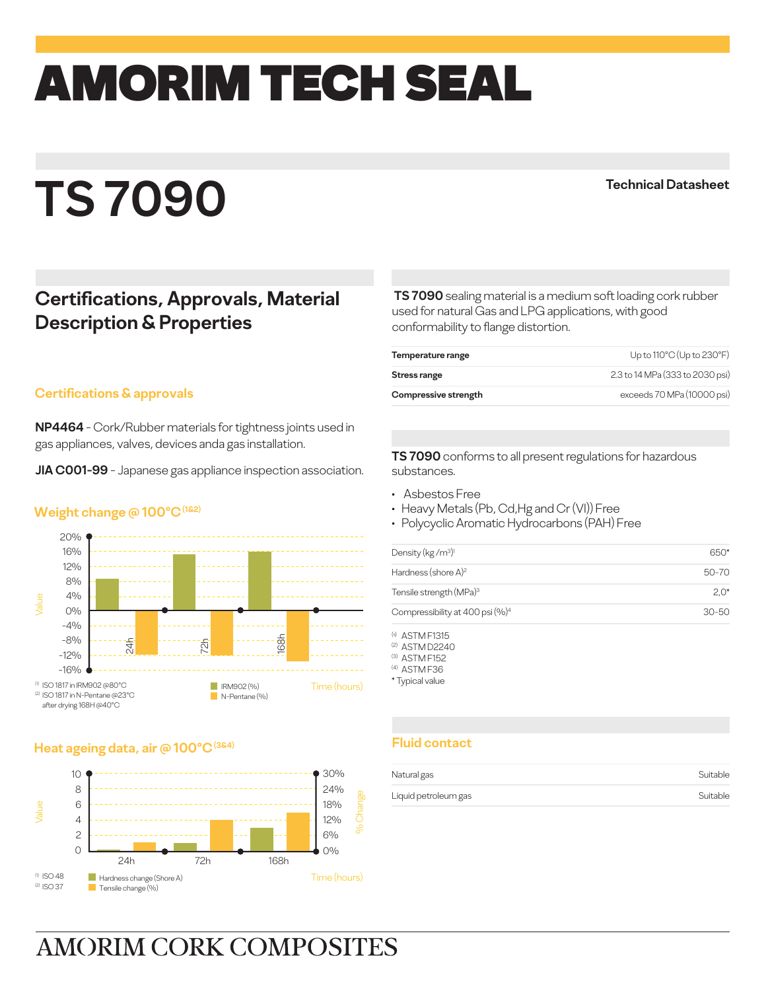# amorim TECH SEAL

## **TS 7090**

**Technical Datasheet**

### **Certifications, Approvals, Material Description & Properties**

#### **Certifications & approvals**

**NP4464** - Cork/Rubber materials for tightness joints used in gas appliances, valves, devices anda gas installation.

**JIA C001-99** - Japanese gas appliance inspection association.

#### **Weight change @ 100°C (1&2)**



#### **Heat ageing data, air @ 100°C (3&4)**



**TS 7090** sealing material is a medium soft loading cork rubber used for natural Gas and LPG applications, with good conformability to flange distortion.

| Compressive strength | exceeds 70 MPa (10000 psi)      |
|----------------------|---------------------------------|
| Stress range         | 2.3 to 14 MPa (333 to 2030 psi) |
| Temperature range    | Up to 110°C (Up to 230°F)       |

TS 7090 conforms to all present regulations for hazardous substances.

- Asbestos Free
- Heavy Metals (Pb, Cd,Hg and Cr (VI)) Free
- Polycyclic Aromatic Hydrocarbons (PAH) Free

| 650*   |
|--------|
| 50-70  |
| $2.0*$ |
| 30-50  |
|        |

 $(h)$   $\triangle$  STM F1315 (2) ASTM D2240

(3) ASTM F152

(4) ASTM F36

\* Typical value

#### **Fluid contact**

| Natural gas          | Suitable |
|----------------------|----------|
| Liquid petroleum gas | Suitable |

## **AMORIM CORK COMPOSITES**